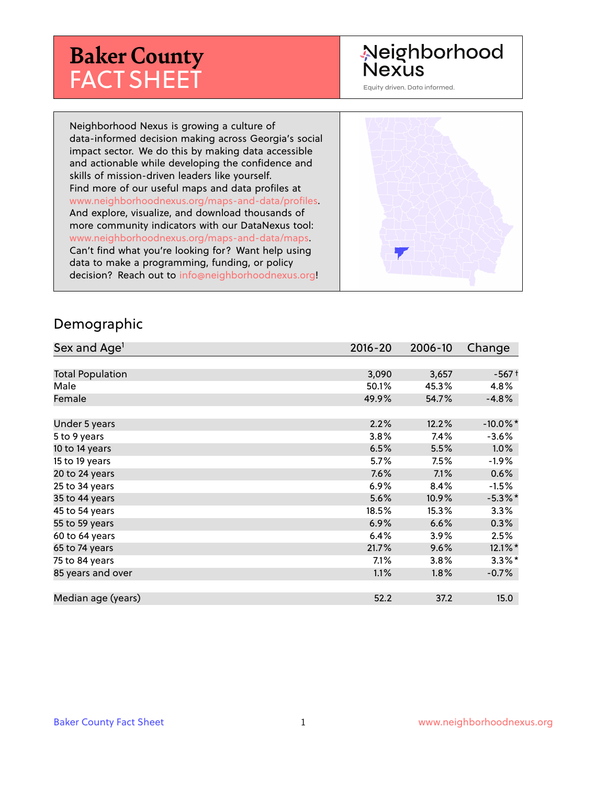# **Baker County** FACT SHEET

# Neighborhood **Nexus**

Equity driven. Data informed.

Neighborhood Nexus is growing a culture of data-informed decision making across Georgia's social impact sector. We do this by making data accessible and actionable while developing the confidence and skills of mission-driven leaders like yourself. Find more of our useful maps and data profiles at www.neighborhoodnexus.org/maps-and-data/profiles. And explore, visualize, and download thousands of more community indicators with our DataNexus tool: www.neighborhoodnexus.org/maps-and-data/maps. Can't find what you're looking for? Want help using data to make a programming, funding, or policy decision? Reach out to [info@neighborhoodnexus.org!](mailto:info@neighborhoodnexus.org)



#### Demographic

| Sex and Age <sup>1</sup> | $2016 - 20$ | 2006-10 | Change                |
|--------------------------|-------------|---------|-----------------------|
|                          |             |         |                       |
| <b>Total Population</b>  | 3,090       | 3,657   | $-567+$               |
| Male                     | 50.1%       | 45.3%   | 4.8%                  |
| Female                   | 49.9%       | 54.7%   | $-4.8%$               |
|                          |             |         |                       |
| Under 5 years            | 2.2%        | 12.2%   | $-10.0\%$ *           |
| 5 to 9 years             | 3.8%        | 7.4%    | $-3.6%$               |
| 10 to 14 years           | 6.5%        | 5.5%    | $1.0\%$               |
| 15 to 19 years           | 5.7%        | 7.5%    | $-1.9%$               |
| 20 to 24 years           | 7.6%        | 7.1%    | 0.6%                  |
| 25 to 34 years           | 6.9%        | 8.4%    | $-1.5%$               |
| 35 to 44 years           | 5.6%        | 10.9%   | $-5.3\%$ *            |
| 45 to 54 years           | 18.5%       | 15.3%   | 3.3%                  |
| 55 to 59 years           | 6.9%        | 6.6%    | 0.3%                  |
| 60 to 64 years           | 6.4%        | 3.9%    | 2.5%                  |
| 65 to 74 years           | 21.7%       | 9.6%    | $12.1\%$ <sup>*</sup> |
| 75 to 84 years           | $7.1\%$     | $3.8\%$ | $3.3\%$ *             |
| 85 years and over        | 1.1%        | $1.8\%$ | $-0.7\%$              |
|                          |             |         |                       |
| Median age (years)       | 52.2        | 37.2    | 15.0                  |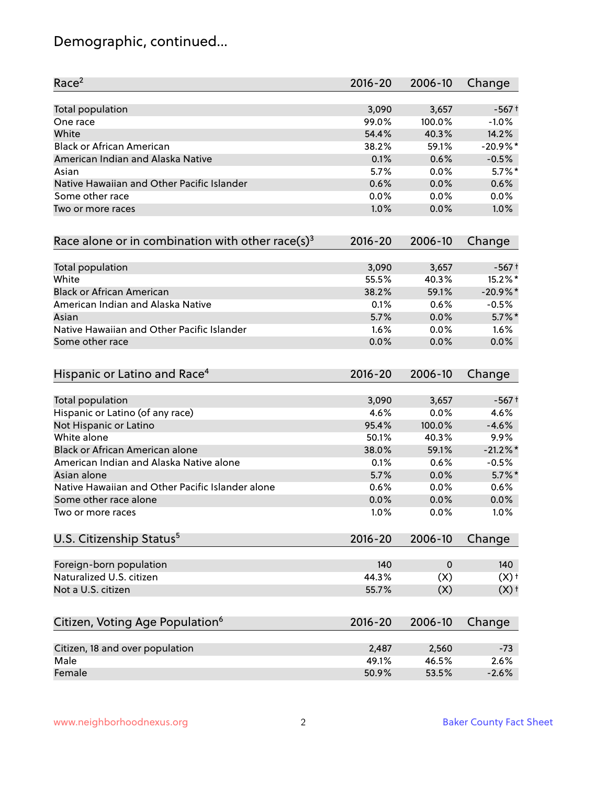# Demographic, continued...

| Race <sup>2</sup>                                            | $2016 - 20$ | 2006-10     | Change             |
|--------------------------------------------------------------|-------------|-------------|--------------------|
| <b>Total population</b>                                      | 3,090       | 3,657       | $-567+$            |
| One race                                                     | 99.0%       | 100.0%      | $-1.0%$            |
| White                                                        | 54.4%       | 40.3%       | 14.2%              |
| <b>Black or African American</b>                             | 38.2%       | 59.1%       | $-20.9%$ *         |
| American Indian and Alaska Native                            | 0.1%        | 0.6%        | $-0.5%$            |
| Asian                                                        | 5.7%        | 0.0%        | $5.7\%$ *          |
| Native Hawaiian and Other Pacific Islander                   | 0.6%        | 0.0%        | 0.6%               |
| Some other race                                              | 0.0%        | 0.0%        | 0.0%               |
| Two or more races                                            | 1.0%        | 0.0%        | 1.0%               |
| Race alone or in combination with other race(s) <sup>3</sup> | $2016 - 20$ | 2006-10     | Change             |
| Total population                                             | 3,090       | 3,657       | $-567+$            |
| White                                                        | 55.5%       | 40.3%       | 15.2%*             |
| <b>Black or African American</b>                             | 38.2%       | 59.1%       | $-20.9%$ *         |
| American Indian and Alaska Native                            | 0.1%        | 0.6%        | $-0.5%$            |
| Asian                                                        | 5.7%        | 0.0%        | $5.7\%$ *          |
| Native Hawaiian and Other Pacific Islander                   | 1.6%        | 0.0%        | 1.6%               |
| Some other race                                              | 0.0%        | 0.0%        | 0.0%               |
| Hispanic or Latino and Race <sup>4</sup>                     | $2016 - 20$ | 2006-10     | Change             |
| Total population                                             | 3,090       | 3,657       | $-567+$            |
| Hispanic or Latino (of any race)                             | 4.6%        | 0.0%        | 4.6%               |
| Not Hispanic or Latino                                       | 95.4%       | 100.0%      | $-4.6%$            |
| White alone                                                  | 50.1%       | 40.3%       | 9.9%               |
| Black or African American alone                              | 38.0%       | 59.1%       | $-21.2%$           |
| American Indian and Alaska Native alone                      | 0.1%        | 0.6%        | $-0.5%$            |
| Asian alone                                                  | 5.7%        | 0.0%        | $5.7\%$ *          |
| Native Hawaiian and Other Pacific Islander alone             | 0.6%        | 0.0%        | 0.6%               |
| Some other race alone                                        | 0.0%        | 0.0%        | 0.0%               |
| Two or more races                                            | 1.0%        | 0.0%        | 1.0%               |
| U.S. Citizenship Status <sup>5</sup>                         | $2016 - 20$ | 2006-10     | Change             |
| Foreign-born population                                      | 140         | $\mathbf 0$ | 140                |
| Naturalized U.S. citizen                                     | 44.3%       | (X)         | $(X)$ <sup>+</sup> |
| Not a U.S. citizen                                           | 55.7%       | (X)         | $(X)$ <sup>+</sup> |
| Citizen, Voting Age Population <sup>6</sup>                  | $2016 - 20$ | 2006-10     | Change             |
| Citizen, 18 and over population                              | 2,487       | 2,560       | $-73$              |
| Male                                                         | 49.1%       | 46.5%       | 2.6%               |
| Female                                                       | 50.9%       | 53.5%       | $-2.6%$            |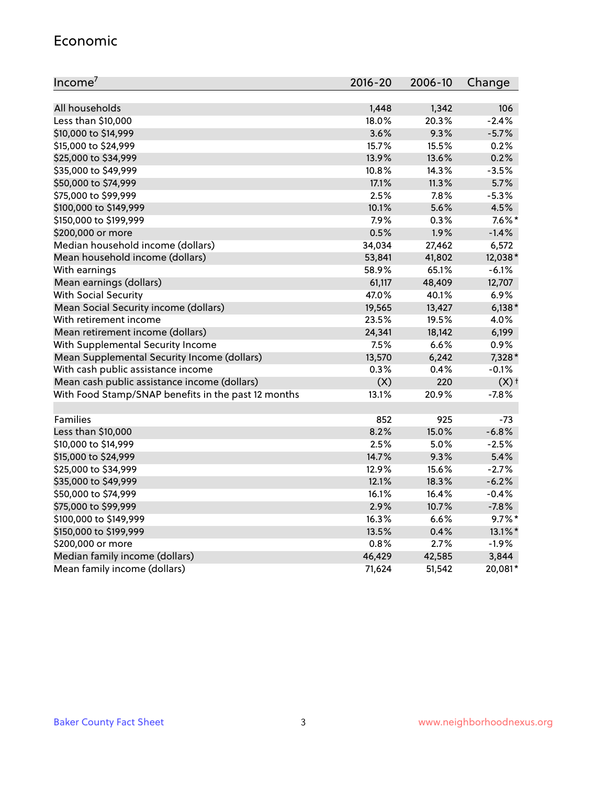#### Economic

| Income <sup>7</sup>                                 | $2016 - 20$ | 2006-10 | Change             |
|-----------------------------------------------------|-------------|---------|--------------------|
|                                                     |             |         |                    |
| All households                                      | 1,448       | 1,342   | 106                |
| Less than \$10,000                                  | 18.0%       | 20.3%   | $-2.4%$            |
| \$10,000 to \$14,999                                | 3.6%        | 9.3%    | $-5.7%$            |
| \$15,000 to \$24,999                                | 15.7%       | 15.5%   | 0.2%               |
| \$25,000 to \$34,999                                | 13.9%       | 13.6%   | 0.2%               |
| \$35,000 to \$49,999                                | 10.8%       | 14.3%   | $-3.5%$            |
| \$50,000 to \$74,999                                | 17.1%       | 11.3%   | 5.7%               |
| \$75,000 to \$99,999                                | 2.5%        | 7.8%    | $-5.3%$            |
| \$100,000 to \$149,999                              | 10.1%       | 5.6%    | 4.5%               |
| \$150,000 to \$199,999                              | 7.9%        | 0.3%    | $7.6\%$ *          |
| \$200,000 or more                                   | 0.5%        | 1.9%    | $-1.4%$            |
| Median household income (dollars)                   | 34,034      | 27,462  | 6,572              |
| Mean household income (dollars)                     | 53,841      | 41,802  | 12,038*            |
| With earnings                                       | 58.9%       | 65.1%   | $-6.1%$            |
| Mean earnings (dollars)                             | 61,117      | 48,409  | 12,707             |
| <b>With Social Security</b>                         | 47.0%       | 40.1%   | 6.9%               |
| Mean Social Security income (dollars)               | 19,565      | 13,427  | $6,138*$           |
| With retirement income                              | 23.5%       | 19.5%   | 4.0%               |
| Mean retirement income (dollars)                    | 24,341      | 18,142  | 6,199              |
| With Supplemental Security Income                   | 7.5%        | 6.6%    | 0.9%               |
| Mean Supplemental Security Income (dollars)         | 13,570      | 6,242   | 7,328*             |
| With cash public assistance income                  | 0.3%        | 0.4%    | $-0.1%$            |
| Mean cash public assistance income (dollars)        | (X)         | 220     | $(X)$ <sup>+</sup> |
| With Food Stamp/SNAP benefits in the past 12 months | 13.1%       | 20.9%   | $-7.8%$            |
|                                                     |             |         |                    |
| Families                                            | 852         | 925     | $-73$              |
| Less than \$10,000                                  | 8.2%        | 15.0%   | $-6.8%$            |
| \$10,000 to \$14,999                                | 2.5%        | 5.0%    | $-2.5%$            |
| \$15,000 to \$24,999                                | 14.7%       | 9.3%    | 5.4%               |
| \$25,000 to \$34,999                                | 12.9%       | 15.6%   | $-2.7%$            |
| \$35,000 to \$49,999                                | 12.1%       | 18.3%   | $-6.2%$            |
| \$50,000 to \$74,999                                | 16.1%       | 16.4%   | $-0.4%$            |
| \$75,000 to \$99,999                                | 2.9%        | 10.7%   | $-7.8%$            |
| \$100,000 to \$149,999                              | 16.3%       | 6.6%    | $9.7\%$ *          |
| \$150,000 to \$199,999                              | 13.5%       | 0.4%    | 13.1%*             |
| \$200,000 or more                                   | 0.8%        | 2.7%    | $-1.9%$            |
| Median family income (dollars)                      | 46,429      | 42,585  | 3,844              |
| Mean family income (dollars)                        | 71,624      | 51,542  | 20,081*            |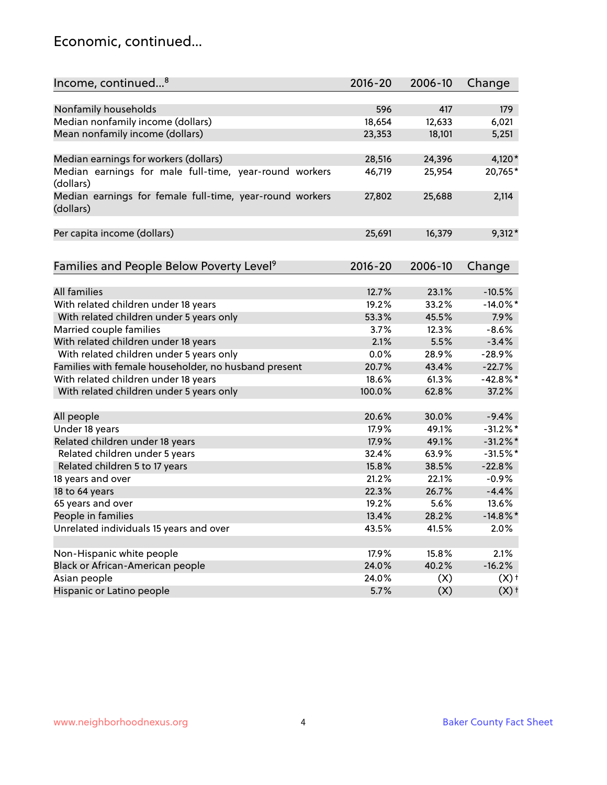### Economic, continued...

| Income, continued <sup>8</sup>                                        | $2016 - 20$ | 2006-10 | Change             |
|-----------------------------------------------------------------------|-------------|---------|--------------------|
|                                                                       |             |         |                    |
| Nonfamily households                                                  | 596         | 417     | 179                |
| Median nonfamily income (dollars)                                     | 18,654      | 12,633  | 6,021              |
| Mean nonfamily income (dollars)                                       | 23,353      | 18,101  | 5,251              |
| Median earnings for workers (dollars)                                 | 28,516      | 24,396  | 4,120*             |
| Median earnings for male full-time, year-round workers                | 46,719      | 25,954  | 20,765*            |
| (dollars)                                                             |             |         |                    |
| Median earnings for female full-time, year-round workers<br>(dollars) | 27,802      | 25,688  | 2,114              |
| Per capita income (dollars)                                           | 25,691      | 16,379  | $9,312*$           |
|                                                                       |             |         |                    |
| Families and People Below Poverty Level <sup>9</sup>                  | 2016-20     | 2006-10 | Change             |
|                                                                       |             |         |                    |
| <b>All families</b>                                                   | 12.7%       | 23.1%   | $-10.5%$           |
| With related children under 18 years                                  | 19.2%       | 33.2%   | $-14.0\%$ *        |
| With related children under 5 years only                              | 53.3%       | 45.5%   | 7.9%               |
| Married couple families                                               | 3.7%        | 12.3%   | $-8.6%$            |
| With related children under 18 years                                  | 2.1%        | 5.5%    | $-3.4%$            |
| With related children under 5 years only                              | 0.0%        | 28.9%   | $-28.9%$           |
| Families with female householder, no husband present                  | 20.7%       | 43.4%   | $-22.7%$           |
| With related children under 18 years                                  | 18.6%       | 61.3%   | $-42.8%$ *         |
| With related children under 5 years only                              | 100.0%      | 62.8%   | 37.2%              |
| All people                                                            | 20.6%       | 30.0%   | $-9.4%$            |
| Under 18 years                                                        | 17.9%       | 49.1%   | $-31.2\%$ *        |
| Related children under 18 years                                       | 17.9%       | 49.1%   | $-31.2\%$ *        |
| Related children under 5 years                                        | 32.4%       | 63.9%   | $-31.5%$ *         |
| Related children 5 to 17 years                                        | 15.8%       | 38.5%   | $-22.8%$           |
| 18 years and over                                                     | 21.2%       | 22.1%   | $-0.9%$            |
|                                                                       |             |         |                    |
| 18 to 64 years                                                        | 22.3%       | 26.7%   | $-4.4%$            |
| 65 years and over                                                     | 19.2%       | 5.6%    | 13.6%              |
| People in families                                                    | 13.4%       | 28.2%   | $-14.8\%$ *        |
| Unrelated individuals 15 years and over                               | 43.5%       | 41.5%   | 2.0%               |
| Non-Hispanic white people                                             | 17.9%       | 15.8%   | 2.1%               |
| Black or African-American people                                      | 24.0%       | 40.2%   | $-16.2%$           |
| Asian people                                                          | 24.0%       | (X)     | $(X)$ <sup>+</sup> |
| Hispanic or Latino people                                             | 5.7%        | (X)     | $(X)$ <sup>+</sup> |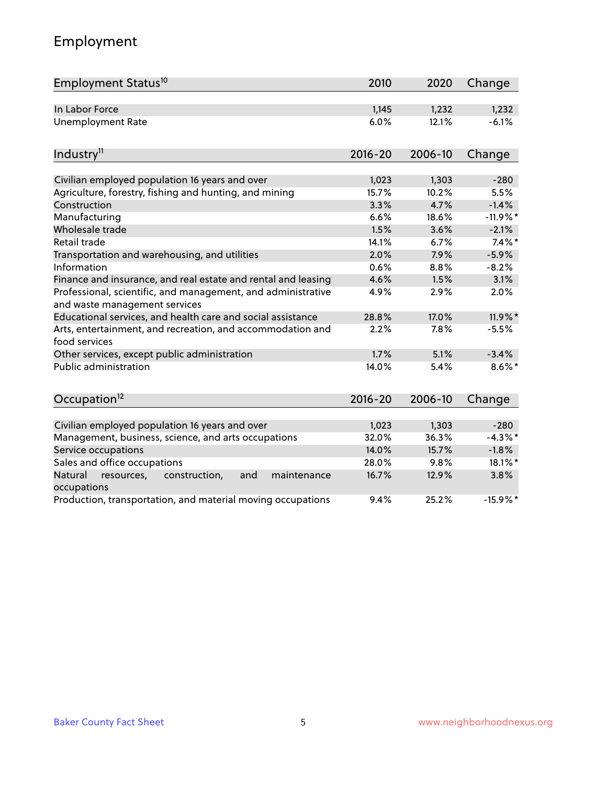# Employment

| Employment Status <sup>10</sup>                                                               | 2010        | 2020    | Change     |
|-----------------------------------------------------------------------------------------------|-------------|---------|------------|
| In Labor Force                                                                                | 1,145       | 1,232   | 1,232      |
| <b>Unemployment Rate</b>                                                                      | 6.0%        | 12.1%   | $-6.1%$    |
| Industry <sup>11</sup>                                                                        | $2016 - 20$ | 2006-10 | Change     |
|                                                                                               |             |         |            |
| Civilian employed population 16 years and over                                                | 1,023       | 1,303   | $-280$     |
| Agriculture, forestry, fishing and hunting, and mining                                        | 15.7%       | 10.2%   | 5.5%       |
| Construction                                                                                  | 3.3%        | 4.7%    | $-1.4%$    |
| Manufacturing                                                                                 | 6.6%        | 18.6%   | $-11.9%$ * |
| Wholesale trade                                                                               | 1.5%        | 3.6%    | $-2.1%$    |
| Retail trade                                                                                  | 14.1%       | 6.7%    | $7.4\%$ *  |
| Transportation and warehousing, and utilities                                                 | 2.0%        | 7.9%    | $-5.9%$    |
| Information                                                                                   | 0.6%        | 8.8%    | $-8.2%$    |
| Finance and insurance, and real estate and rental and leasing                                 | 4.6%        | 1.5%    | 3.1%       |
| Professional, scientific, and management, and administrative<br>and waste management services | 4.9%        | 2.9%    | 2.0%       |
| Educational services, and health care and social assistance                                   | 28.8%       | 17.0%   | 11.9%*     |
| Arts, entertainment, and recreation, and accommodation and<br>food services                   | 2.2%        | 7.8%    | $-5.5%$    |
| Other services, except public administration                                                  | 1.7%        | 5.1%    | $-3.4%$    |
| <b>Public administration</b>                                                                  | 14.0%       | 5.4%    | $8.6\%$ *  |
| Occupation <sup>12</sup>                                                                      | $2016 - 20$ | 2006-10 | Change     |
|                                                                                               |             |         |            |
| Civilian employed population 16 years and over                                                | 1,023       | 1,303   | $-280$     |
| Management, business, science, and arts occupations                                           | 32.0%       | 36.3%   | $-4.3%$ *  |
| Service occupations                                                                           | 14.0%       | 15.7%   | $-1.8%$    |
| Sales and office occupations                                                                  | 28.0%       | 9.8%    | 18.1%*     |
| Natural<br>resources,<br>construction,<br>and<br>maintenance<br>occupations                   | 16.7%       | 12.9%   | 3.8%       |
| Production, transportation, and material moving occupations                                   | 9.4%        | 25.2%   | $-15.9%$ * |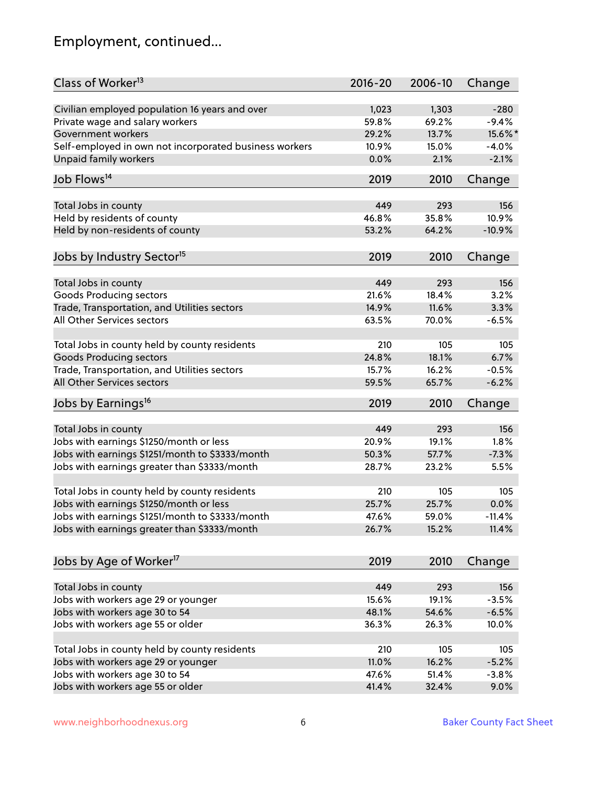# Employment, continued...

| Class of Worker <sup>13</sup>                          | $2016 - 20$  | 2006-10      | Change         |
|--------------------------------------------------------|--------------|--------------|----------------|
| Civilian employed population 16 years and over         | 1,023        | 1,303        | $-280$         |
| Private wage and salary workers                        | 59.8%        | 69.2%        | $-9.4%$        |
| Government workers                                     | 29.2%        | 13.7%        | 15.6%*         |
| Self-employed in own not incorporated business workers | 10.9%        | 15.0%        | $-4.0%$        |
| Unpaid family workers                                  | 0.0%         | 2.1%         | $-2.1%$        |
| Job Flows <sup>14</sup>                                | 2019         | 2010         |                |
|                                                        |              |              | Change         |
| Total Jobs in county                                   | 449          | 293          | 156            |
| Held by residents of county                            | 46.8%        | 35.8%        | 10.9%          |
| Held by non-residents of county                        | 53.2%        | 64.2%        | $-10.9%$       |
| Jobs by Industry Sector <sup>15</sup>                  | 2019         | 2010         |                |
|                                                        |              |              | Change         |
| Total Jobs in county                                   | 449          | 293          | 156            |
| <b>Goods Producing sectors</b>                         | 21.6%        | 18.4%        | 3.2%           |
| Trade, Transportation, and Utilities sectors           | 14.9%        | 11.6%        | 3.3%           |
| All Other Services sectors                             | 63.5%        | 70.0%        | $-6.5%$        |
|                                                        |              |              |                |
| Total Jobs in county held by county residents          | 210          | 105          | 105            |
| <b>Goods Producing sectors</b>                         | 24.8%        | 18.1%        | 6.7%           |
| Trade, Transportation, and Utilities sectors           | 15.7%        | 16.2%        | $-0.5%$        |
| All Other Services sectors                             | 59.5%        | 65.7%        | $-6.2%$        |
| Jobs by Earnings <sup>16</sup>                         | 2019         | 2010         | Change         |
| Total Jobs in county                                   | 449          | 293          | 156            |
| Jobs with earnings \$1250/month or less                | 20.9%        | 19.1%        | 1.8%           |
|                                                        |              | 57.7%        | $-7.3%$        |
| Jobs with earnings \$1251/month to \$3333/month        | 50.3%        |              |                |
| Jobs with earnings greater than \$3333/month           | 28.7%        | 23.2%        | 5.5%           |
| Total Jobs in county held by county residents          | 210          | 105          | 105            |
| Jobs with earnings \$1250/month or less                | 25.7%        | 25.7%        | 0.0%           |
| Jobs with earnings \$1251/month to \$3333/month        | 47.6%        | 59.0%        | $-11.4\%$      |
| Jobs with earnings greater than \$3333/month           | 26.7%        | 15.2%        | 11.4%          |
|                                                        |              |              |                |
| Jobs by Age of Worker <sup>17</sup>                    | 2019         | 2010         | Change         |
| Total Jobs in county                                   |              |              |                |
| Jobs with workers age 29 or younger                    | 449<br>15.6% | 293<br>19.1% | 156<br>$-3.5%$ |
|                                                        |              |              |                |
| Jobs with workers age 30 to 54                         | 48.1%        | 54.6%        | $-6.5%$        |
| Jobs with workers age 55 or older                      | 36.3%        | 26.3%        | 10.0%          |
| Total Jobs in county held by county residents          | 210          | 105          | 105            |
| Jobs with workers age 29 or younger                    | 11.0%        | 16.2%        | $-5.2%$        |
| Jobs with workers age 30 to 54                         | 47.6%        | 51.4%        | $-3.8%$        |
| Jobs with workers age 55 or older                      | 41.4%        | 32.4%        | 9.0%           |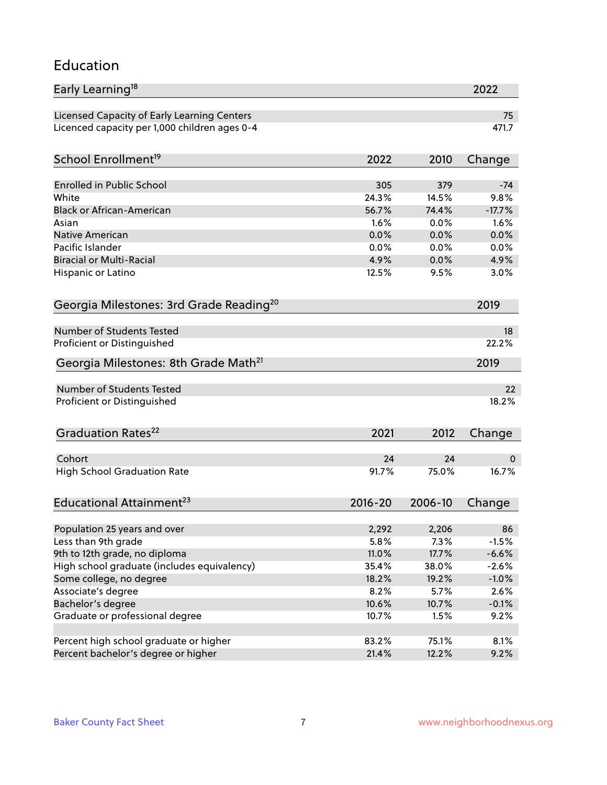#### Education

| Early Learning <sup>18</sup>                        |             |         | 2022     |
|-----------------------------------------------------|-------------|---------|----------|
| Licensed Capacity of Early Learning Centers         |             |         | 75       |
| Licenced capacity per 1,000 children ages 0-4       |             |         | 471.7    |
| School Enrollment <sup>19</sup>                     | 2022        | 2010    | Change   |
|                                                     |             |         |          |
| <b>Enrolled in Public School</b>                    | 305         | 379     | $-74$    |
| White                                               | 24.3%       | 14.5%   | 9.8%     |
| <b>Black or African-American</b>                    | 56.7%       | 74.4%   | $-17.7%$ |
| Asian                                               | 1.6%        | 0.0%    | 1.6%     |
| <b>Native American</b>                              | 0.0%        | 0.0%    | 0.0%     |
| Pacific Islander                                    | 0.0%        | 0.0%    | 0.0%     |
| <b>Biracial or Multi-Racial</b>                     | 4.9%        | 0.0%    | 4.9%     |
| Hispanic or Latino                                  | 12.5%       | 9.5%    | 3.0%     |
| Georgia Milestones: 3rd Grade Reading <sup>20</sup> |             |         | 2019     |
|                                                     |             |         |          |
| Number of Students Tested                           |             |         | 18       |
| Proficient or Distinguished                         |             |         | 22.2%    |
| Georgia Milestones: 8th Grade Math <sup>21</sup>    |             |         | 2019     |
| <b>Number of Students Tested</b>                    |             |         | 22       |
| Proficient or Distinguished                         |             |         | 18.2%    |
|                                                     |             |         |          |
| Graduation Rates <sup>22</sup>                      | 2021        | 2012    | Change   |
| Cohort                                              | 24          | 24      | 0        |
| <b>High School Graduation Rate</b>                  | 91.7%       | 75.0%   | 16.7%    |
|                                                     |             |         |          |
| Educational Attainment <sup>23</sup>                | $2016 - 20$ | 2006-10 | Change   |
| Population 25 years and over                        | 2,292       | 2,206   | 86       |
| Less than 9th grade                                 | 5.8%        | 7.3%    | $-1.5%$  |
| 9th to 12th grade, no diploma                       | 11.0%       | 17.7%   | $-6.6%$  |
| High school graduate (includes equivalency)         |             |         | $-2.6%$  |
|                                                     | 35.4%       | 38.0%   |          |
| Some college, no degree                             | 18.2%       | 19.2%   | $-1.0%$  |
| Associate's degree                                  | 8.2%        | 5.7%    | 2.6%     |
| Bachelor's degree                                   | 10.6%       | 10.7%   | $-0.1%$  |
| Graduate or professional degree                     | 10.7%       | 1.5%    | 9.2%     |
| Percent high school graduate or higher              | 83.2%       | 75.1%   | 8.1%     |
| Percent bachelor's degree or higher                 | 21.4%       | 12.2%   | 9.2%     |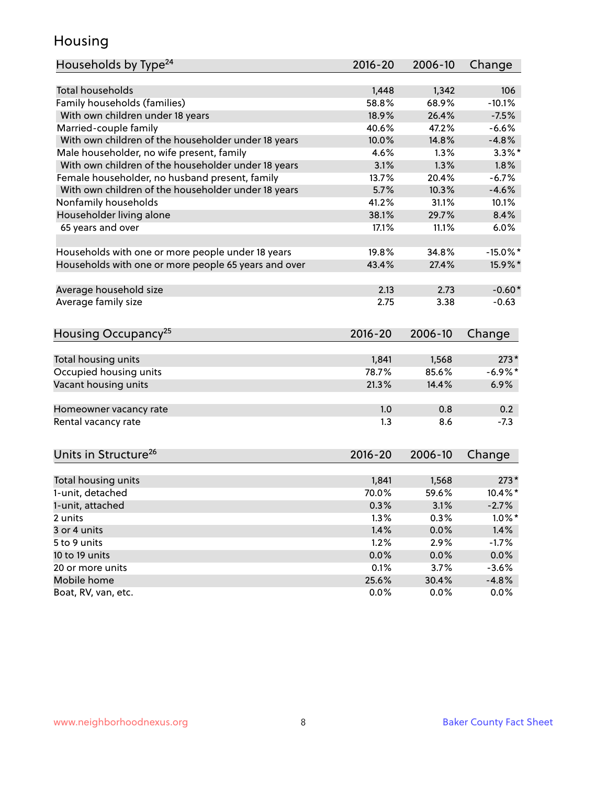### Housing

| Households by Type <sup>24</sup>                     | 2016-20 | 2006-10 | Change      |
|------------------------------------------------------|---------|---------|-------------|
|                                                      |         |         |             |
| <b>Total households</b>                              | 1,448   | 1,342   | 106         |
| Family households (families)                         | 58.8%   | 68.9%   | $-10.1%$    |
| With own children under 18 years                     | 18.9%   | 26.4%   | $-7.5%$     |
| Married-couple family                                | 40.6%   | 47.2%   | $-6.6%$     |
| With own children of the householder under 18 years  | 10.0%   | 14.8%   | $-4.8%$     |
| Male householder, no wife present, family            | 4.6%    | 1.3%    | $3.3\%$ *   |
| With own children of the householder under 18 years  | 3.1%    | 1.3%    | 1.8%        |
| Female householder, no husband present, family       | 13.7%   | 20.4%   | $-6.7%$     |
| With own children of the householder under 18 years  | 5.7%    | 10.3%   | $-4.6%$     |
| Nonfamily households                                 | 41.2%   | 31.1%   | 10.1%       |
| Householder living alone                             | 38.1%   | 29.7%   | 8.4%        |
| 65 years and over                                    | 17.1%   | 11.1%   | 6.0%        |
| Households with one or more people under 18 years    | 19.8%   | 34.8%   | $-15.0\%$ * |
| Households with one or more people 65 years and over | 43.4%   | 27.4%   | 15.9%*      |
|                                                      |         |         |             |
| Average household size                               | 2.13    | 2.73    | $-0.60*$    |
| Average family size                                  | 2.75    | 3.38    | $-0.63$     |
| Housing Occupancy <sup>25</sup>                      | 2016-20 | 2006-10 | Change      |
| Total housing units                                  | 1,841   | 1,568   | $273*$      |
| Occupied housing units                               | 78.7%   | 85.6%   | $-6.9%$ *   |
| Vacant housing units                                 | 21.3%   | 14.4%   | 6.9%        |
|                                                      |         |         |             |
| Homeowner vacancy rate                               | 1.0     | 0.8     | 0.2         |
| Rental vacancy rate                                  | 1.3     | 8.6     | $-7.3$      |
| Units in Structure <sup>26</sup>                     | 2016-20 | 2006-10 | Change      |
| Total housing units                                  | 1,841   | 1,568   | $273*$      |
| 1-unit, detached                                     | 70.0%   | 59.6%   | 10.4%*      |
| 1-unit, attached                                     | 0.3%    | 3.1%    | $-2.7%$     |
| 2 units                                              | 1.3%    | 0.3%    | $1.0\%$ *   |
| 3 or 4 units                                         | 1.4%    | 0.0%    | 1.4%        |
|                                                      |         |         |             |
| 5 to 9 units                                         | 1.2%    | 2.9%    | $-1.7%$     |
| 10 to 19 units                                       | 0.0%    | 0.0%    | 0.0%        |
| 20 or more units                                     | 0.1%    | 3.7%    | $-3.6%$     |
| Mobile home                                          | 25.6%   | 30.4%   | $-4.8%$     |
| Boat, RV, van, etc.                                  | 0.0%    | 0.0%    | 0.0%        |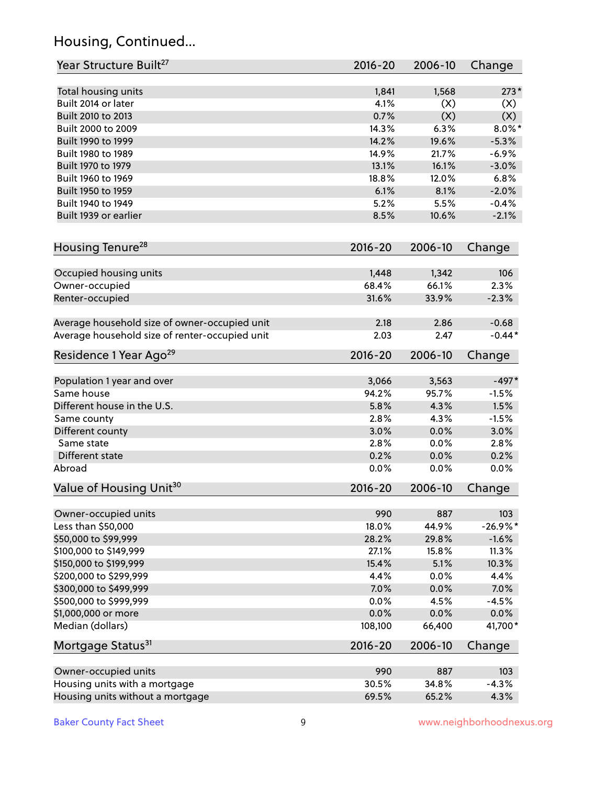# Housing, Continued...

| Year Structure Built <sup>27</sup>             | 2016-20     | 2006-10 | Change     |
|------------------------------------------------|-------------|---------|------------|
| Total housing units                            | 1,841       | 1,568   | $273*$     |
| Built 2014 or later                            | 4.1%        | (X)     | (X)        |
| Built 2010 to 2013                             | 0.7%        | (X)     | (X)        |
| Built 2000 to 2009                             | 14.3%       | 6.3%    | $8.0\%$ *  |
| Built 1990 to 1999                             | 14.2%       | 19.6%   | $-5.3%$    |
| Built 1980 to 1989                             | 14.9%       | 21.7%   | $-6.9%$    |
| Built 1970 to 1979                             | 13.1%       | 16.1%   | $-3.0%$    |
| Built 1960 to 1969                             | 18.8%       | 12.0%   | 6.8%       |
| Built 1950 to 1959                             | 6.1%        | 8.1%    | $-2.0%$    |
| Built 1940 to 1949                             | 5.2%        | 5.5%    | $-0.4%$    |
| Built 1939 or earlier                          | 8.5%        | 10.6%   | $-2.1%$    |
|                                                |             |         |            |
| Housing Tenure <sup>28</sup>                   | $2016 - 20$ | 2006-10 | Change     |
| Occupied housing units                         | 1,448       | 1,342   | 106        |
| Owner-occupied                                 | 68.4%       | 66.1%   | 2.3%       |
| Renter-occupied                                | 31.6%       | 33.9%   | $-2.3%$    |
| Average household size of owner-occupied unit  | 2.18        | 2.86    | $-0.68$    |
| Average household size of renter-occupied unit | 2.03        | 2.47    | $-0.44*$   |
| Residence 1 Year Ago <sup>29</sup>             | 2016-20     | 2006-10 | Change     |
|                                                |             |         |            |
| Population 1 year and over                     | 3,066       | 3,563   | $-497*$    |
| Same house                                     | 94.2%       | 95.7%   | $-1.5%$    |
| Different house in the U.S.                    | 5.8%        | 4.3%    | 1.5%       |
| Same county                                    | 2.8%        | 4.3%    | $-1.5%$    |
| Different county                               | 3.0%        | 0.0%    | 3.0%       |
| Same state                                     | 2.8%        | 0.0%    | 2.8%       |
| Different state                                | 0.2%        | 0.0%    | 0.2%       |
| Abroad                                         | 0.0%        | 0.0%    | 0.0%       |
| Value of Housing Unit <sup>30</sup>            | 2016-20     | 2006-10 | Change     |
| Owner-occupied units                           | 990         | 887     | 103        |
| Less than \$50,000                             | 18.0%       | 44.9%   | $-26.9%$ * |
| \$50,000 to \$99,999                           | 28.2%       | 29.8%   | $-1.6%$    |
| \$100,000 to \$149,999                         | 27.1%       | 15.8%   | 11.3%      |
| \$150,000 to \$199,999                         | 15.4%       | 5.1%    | 10.3%      |
| \$200,000 to \$299,999                         | 4.4%        | 0.0%    | 4.4%       |
| \$300,000 to \$499,999                         | 7.0%        | 0.0%    | 7.0%       |
| \$500,000 to \$999,999                         | 0.0%        | 4.5%    | $-4.5%$    |
| \$1,000,000 or more                            | 0.0%        | 0.0%    | $0.0\%$    |
| Median (dollars)                               | 108,100     | 66,400  | 41,700*    |
| Mortgage Status <sup>31</sup>                  | $2016 - 20$ | 2006-10 | Change     |
| Owner-occupied units                           | 990         | 887     | 103        |
| Housing units with a mortgage                  | 30.5%       | 34.8%   | $-4.3%$    |
|                                                |             |         |            |
| Housing units without a mortgage               | 69.5%       | 65.2%   | 4.3%       |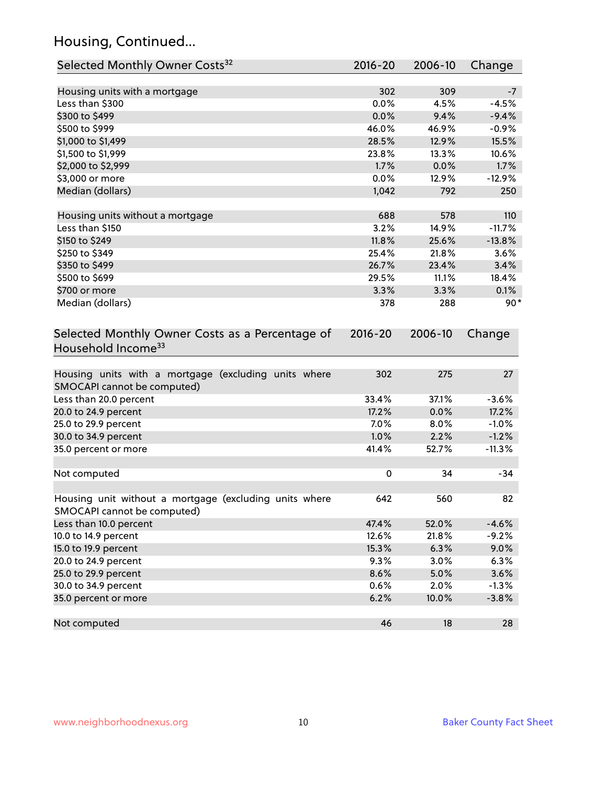# Housing, Continued...

| Selected Monthly Owner Costs <sup>32</sup>                                            | 2016-20     | 2006-10 | Change   |
|---------------------------------------------------------------------------------------|-------------|---------|----------|
| Housing units with a mortgage                                                         | 302         | 309     | $-7$     |
| Less than \$300                                                                       | 0.0%        | 4.5%    | $-4.5%$  |
| \$300 to \$499                                                                        | 0.0%        | 9.4%    | $-9.4%$  |
| \$500 to \$999                                                                        | 46.0%       | 46.9%   | $-0.9%$  |
| \$1,000 to \$1,499                                                                    | 28.5%       | 12.9%   | 15.5%    |
| \$1,500 to \$1,999                                                                    | 23.8%       | 13.3%   | 10.6%    |
| \$2,000 to \$2,999                                                                    | 1.7%        | 0.0%    | 1.7%     |
| \$3,000 or more                                                                       | 0.0%        | 12.9%   | $-12.9%$ |
| Median (dollars)                                                                      | 1,042       | 792     | 250      |
| Housing units without a mortgage                                                      | 688         | 578     | 110      |
| Less than \$150                                                                       | 3.2%        | 14.9%   | $-11.7%$ |
| \$150 to \$249                                                                        | 11.8%       | 25.6%   | $-13.8%$ |
| \$250 to \$349                                                                        | 25.4%       | 21.8%   | 3.6%     |
| \$350 to \$499                                                                        | 26.7%       | 23.4%   | 3.4%     |
| \$500 to \$699                                                                        | 29.5%       | 11.1%   | 18.4%    |
| \$700 or more                                                                         | 3.3%        | 3.3%    | 0.1%     |
| Median (dollars)                                                                      | 378         | 288     | $90*$    |
| Selected Monthly Owner Costs as a Percentage of<br>Household Income <sup>33</sup>     | $2016 - 20$ | 2006-10 | Change   |
| Housing units with a mortgage (excluding units where<br>SMOCAPI cannot be computed)   | 302         | 275     | 27       |
| Less than 20.0 percent                                                                | 33.4%       | 37.1%   | $-3.6%$  |
| 20.0 to 24.9 percent                                                                  | 17.2%       | 0.0%    | 17.2%    |
| 25.0 to 29.9 percent                                                                  | 7.0%        | 8.0%    | $-1.0%$  |
| 30.0 to 34.9 percent                                                                  | 1.0%        | 2.2%    | $-1.2%$  |
| 35.0 percent or more                                                                  | 41.4%       | 52.7%   | $-11.3%$ |
| Not computed                                                                          | $\pmb{0}$   | 34      | $-34$    |
| Housing unit without a mortgage (excluding units where<br>SMOCAPI cannot be computed) | 642         | 560     | 82       |
| Less than 10.0 percent                                                                | 47.4%       | 52.0%   | $-4.6%$  |
| 10.0 to 14.9 percent                                                                  | 12.6%       | 21.8%   | $-9.2%$  |
| 15.0 to 19.9 percent                                                                  | 15.3%       | 6.3%    | 9.0%     |
| 20.0 to 24.9 percent                                                                  | 9.3%        | 3.0%    | 6.3%     |
| 25.0 to 29.9 percent                                                                  | 8.6%        | 5.0%    | 3.6%     |
| 30.0 to 34.9 percent                                                                  | 0.6%        | 2.0%    | $-1.3%$  |
| 35.0 percent or more                                                                  | 6.2%        | 10.0%   | $-3.8%$  |
| Not computed                                                                          | 46          | 18      | 28       |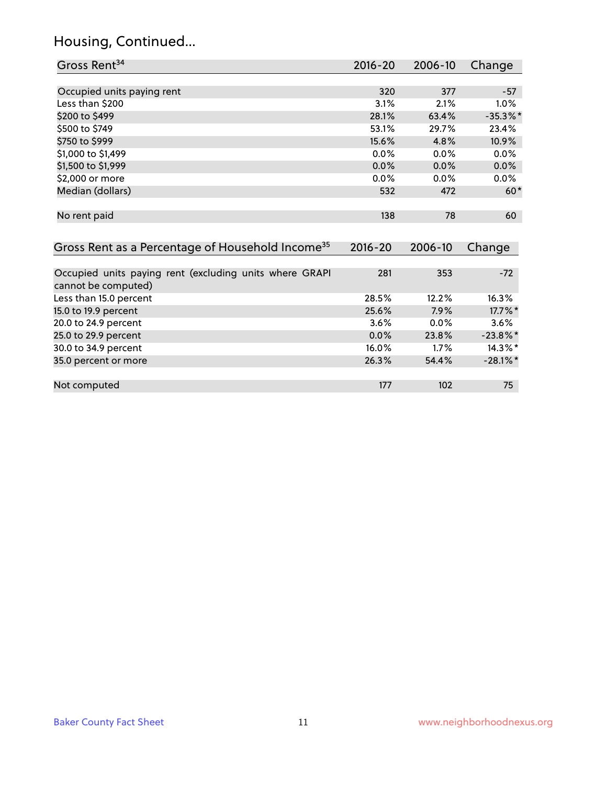# Housing, Continued...

| Gross Rent <sup>34</sup>                                                       | $2016 - 20$ | 2006-10 | Change      |
|--------------------------------------------------------------------------------|-------------|---------|-------------|
|                                                                                |             |         |             |
| Occupied units paying rent                                                     | 320         | 377     | $-57$       |
| Less than \$200                                                                | 3.1%        | 2.1%    | 1.0%        |
| \$200 to \$499                                                                 | 28.1%       | 63.4%   | $-35.3\%$ * |
| \$500 to \$749                                                                 | 53.1%       | 29.7%   | 23.4%       |
| \$750 to \$999                                                                 | 15.6%       | 4.8%    | 10.9%       |
| \$1,000 to \$1,499                                                             | 0.0%        | 0.0%    | 0.0%        |
| \$1,500 to \$1,999                                                             | $0.0\%$     | 0.0%    | 0.0%        |
| \$2,000 or more                                                                | 0.0%        | 0.0%    | 0.0%        |
| Median (dollars)                                                               | 532         | 472     | $60*$       |
| No rent paid                                                                   | 138         | 78      | 60          |
| Gross Rent as a Percentage of Household Income <sup>35</sup>                   | $2016 - 20$ | 2006-10 | Change      |
| Occupied units paying rent (excluding units where GRAPI<br>cannot be computed) | 281         | 353     | $-72$       |
| Less than 15.0 percent                                                         | 28.5%       | 12.2%   | 16.3%       |
| 15.0 to 19.9 percent                                                           | 25.6%       | 7.9%    | 17.7%*      |
| 20.0 to 24.9 percent                                                           | 3.6%        | 0.0%    | 3.6%        |
| 25.0 to 29.9 percent                                                           | 0.0%        | 23.8%   | $-23.8\%$ * |
| 30.0 to 34.9 percent                                                           | 16.0%       | 1.7%    | 14.3%*      |
| 35.0 percent or more                                                           | 26.3%       | 54.4%   | $-28.1\%$ * |
| Not computed                                                                   | 177         | 102     | 75          |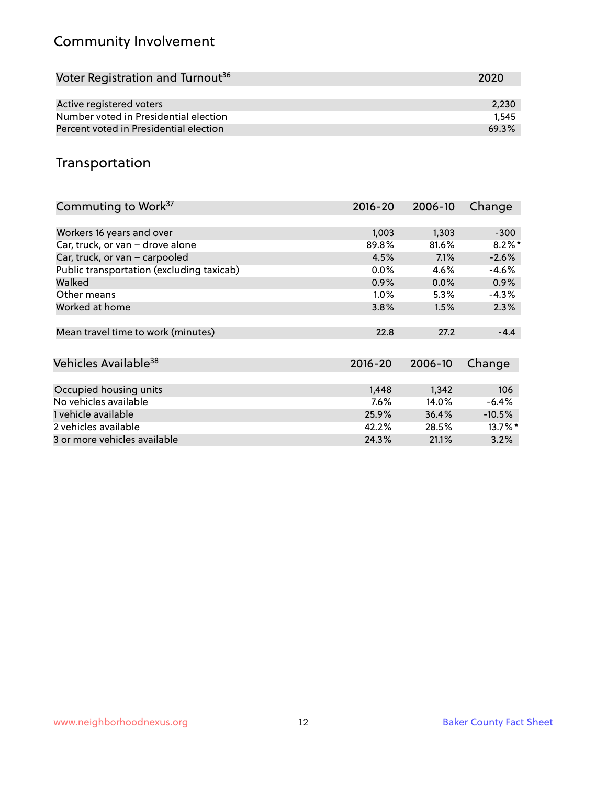# Community Involvement

| Voter Registration and Turnout <sup>36</sup> | 2020  |
|----------------------------------------------|-------|
|                                              |       |
| Active registered voters                     | 2,230 |
| Number voted in Presidential election        | 1.545 |
| Percent voted in Presidential election       | 69.3% |

## Transportation

| Commuting to Work <sup>37</sup>           | 2016-20 | 2006-10 | Change    |
|-------------------------------------------|---------|---------|-----------|
|                                           |         |         |           |
| Workers 16 years and over                 | 1,003   | 1,303   | $-300$    |
| Car, truck, or van - drove alone          | 89.8%   | 81.6%   | $8.2\%$ * |
| Car, truck, or van - carpooled            | 4.5%    | 7.1%    | $-2.6%$   |
| Public transportation (excluding taxicab) | $0.0\%$ | 4.6%    | $-4.6%$   |
| Walked                                    | $0.9\%$ | $0.0\%$ | 0.9%      |
| Other means                               | $1.0\%$ | 5.3%    | $-4.3%$   |
| Worked at home                            | 3.8%    | 1.5%    | 2.3%      |
|                                           |         |         |           |
| Mean travel time to work (minutes)        | 22.8    | 27.2    | $-4.4$    |
|                                           |         |         |           |
| Vehicles Available <sup>38</sup>          | 2016-20 | 2006-10 | Change    |
|                                           |         |         |           |
| Occupied housing units                    | 1,448   | 1,342   | 106       |
| No vehicles available                     | 7.6%    | 14.0%   | $-6.4%$   |
| 1 vehicle available                       | 25.9%   | 36.4%   | $-10.5%$  |
| 2 vehicles available                      | 42.2%   | 28.5%   | 13.7%*    |
| 3 or more vehicles available              | 24.3%   | 21.1%   | 3.2%      |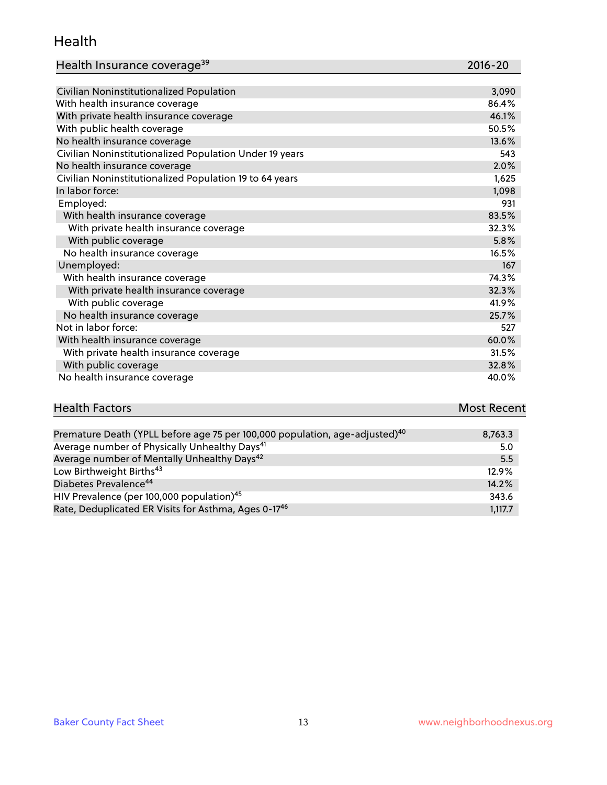#### Health

| Health Insurance coverage <sup>39</sup> | 2016-20 |
|-----------------------------------------|---------|
|-----------------------------------------|---------|

| Civilian Noninstitutionalized Population                | 3,090 |
|---------------------------------------------------------|-------|
| With health insurance coverage                          | 86.4% |
| With private health insurance coverage                  | 46.1% |
| With public health coverage                             | 50.5% |
| No health insurance coverage                            | 13.6% |
| Civilian Noninstitutionalized Population Under 19 years | 543   |
| No health insurance coverage                            | 2.0%  |
| Civilian Noninstitutionalized Population 19 to 64 years | 1,625 |
| In labor force:                                         | 1,098 |
| Employed:                                               | 931   |
| With health insurance coverage                          | 83.5% |
| With private health insurance coverage                  | 32.3% |
| With public coverage                                    | 5.8%  |
| No health insurance coverage                            | 16.5% |
| Unemployed:                                             | 167   |
| With health insurance coverage                          | 74.3% |
| With private health insurance coverage                  | 32.3% |
| With public coverage                                    | 41.9% |
| No health insurance coverage                            | 25.7% |
| Not in labor force:                                     | 527   |
| With health insurance coverage                          | 60.0% |
| With private health insurance coverage                  | 31.5% |
| With public coverage                                    | 32.8% |
| No health insurance coverage                            | 40.0% |

| <b>Health Factors</b>                                                                  | Most Recent |
|----------------------------------------------------------------------------------------|-------------|
|                                                                                        |             |
| Premature Death (VPLL before age 75 per 100,000 population age-adjusted) <sup>40</sup> | 97633       |

| Premature Death (YPLL before age 75 per 100,000 population, age-adjusted) <sup>40</sup> | 8,763.3 |
|-----------------------------------------------------------------------------------------|---------|
| Average number of Physically Unhealthy Days <sup>41</sup>                               | 5.0     |
| Average number of Mentally Unhealthy Days <sup>42</sup>                                 | 5.5     |
| Low Birthweight Births <sup>43</sup>                                                    | 12.9%   |
| Diabetes Prevalence <sup>44</sup>                                                       | 14.2%   |
| HIV Prevalence (per 100,000 population) <sup>45</sup>                                   | 343.6   |
| Rate, Deduplicated ER Visits for Asthma, Ages 0-1746                                    | 1,117.7 |